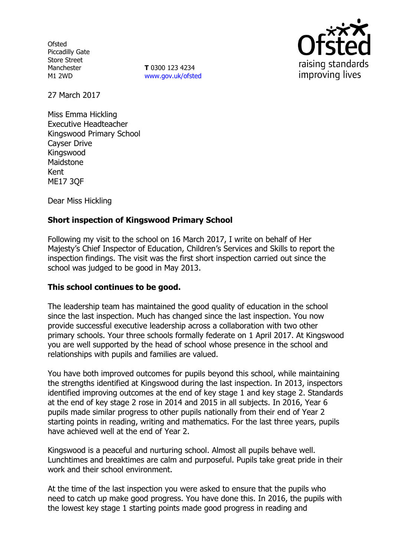**Ofsted** Piccadilly Gate Store Street Manchester M1 2WD

**T** 0300 123 4234 www.gov.uk/ofsted



27 March 2017

Miss Emma Hickling Executive Headteacher Kingswood Primary School Cayser Drive Kingswood Maidstone Kent ME17 3QF

Dear Miss Hickling

# **Short inspection of Kingswood Primary School**

Following my visit to the school on 16 March 2017, I write on behalf of Her Majesty's Chief Inspector of Education, Children's Services and Skills to report the inspection findings. The visit was the first short inspection carried out since the school was judged to be good in May 2013.

# **This school continues to be good.**

The leadership team has maintained the good quality of education in the school since the last inspection. Much has changed since the last inspection. You now provide successful executive leadership across a collaboration with two other primary schools. Your three schools formally federate on 1 April 2017. At Kingswood you are well supported by the head of school whose presence in the school and relationships with pupils and families are valued.

You have both improved outcomes for pupils beyond this school, while maintaining the strengths identified at Kingswood during the last inspection. In 2013, inspectors identified improving outcomes at the end of key stage 1 and key stage 2. Standards at the end of key stage 2 rose in 2014 and 2015 in all subjects. In 2016, Year 6 pupils made similar progress to other pupils nationally from their end of Year 2 starting points in reading, writing and mathematics. For the last three years, pupils have achieved well at the end of Year 2.

Kingswood is a peaceful and nurturing school. Almost all pupils behave well. Lunchtimes and breaktimes are calm and purposeful. Pupils take great pride in their work and their school environment.

At the time of the last inspection you were asked to ensure that the pupils who need to catch up make good progress. You have done this. In 2016, the pupils with the lowest key stage 1 starting points made good progress in reading and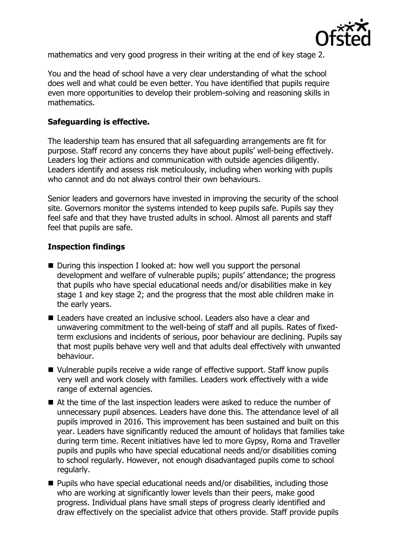

mathematics and very good progress in their writing at the end of key stage 2.

You and the head of school have a very clear understanding of what the school does well and what could be even better. You have identified that pupils require even more opportunities to develop their problem-solving and reasoning skills in mathematics.

# **Safeguarding is effective.**

The leadership team has ensured that all safeguarding arrangements are fit for purpose. Staff record any concerns they have about pupils' well-being effectively. Leaders log their actions and communication with outside agencies diligently. Leaders identify and assess risk meticulously, including when working with pupils who cannot and do not always control their own behaviours.

Senior leaders and governors have invested in improving the security of the school site. Governors monitor the systems intended to keep pupils safe. Pupils say they feel safe and that they have trusted adults in school. Almost all parents and staff feel that pupils are safe.

# **Inspection findings**

- During this inspection I looked at: how well you support the personal development and welfare of vulnerable pupils; pupils' attendance; the progress that pupils who have special educational needs and/or disabilities make in key stage 1 and key stage 2; and the progress that the most able children make in the early years.
- Leaders have created an inclusive school. Leaders also have a clear and unwavering commitment to the well-being of staff and all pupils. Rates of fixedterm exclusions and incidents of serious, poor behaviour are declining. Pupils say that most pupils behave very well and that adults deal effectively with unwanted behaviour.
- Vulnerable pupils receive a wide range of effective support. Staff know pupils very well and work closely with families. Leaders work effectively with a wide range of external agencies.
- At the time of the last inspection leaders were asked to reduce the number of unnecessary pupil absences. Leaders have done this. The attendance level of all pupils improved in 2016. This improvement has been sustained and built on this year. Leaders have significantly reduced the amount of holidays that families take during term time. Recent initiatives have led to more Gypsy, Roma and Traveller pupils and pupils who have special educational needs and/or disabilities coming to school regularly. However, not enough disadvantaged pupils come to school regularly.
- Pupils who have special educational needs and/or disabilities, including those who are working at significantly lower levels than their peers, make good progress. Individual plans have small steps of progress clearly identified and draw effectively on the specialist advice that others provide. Staff provide pupils